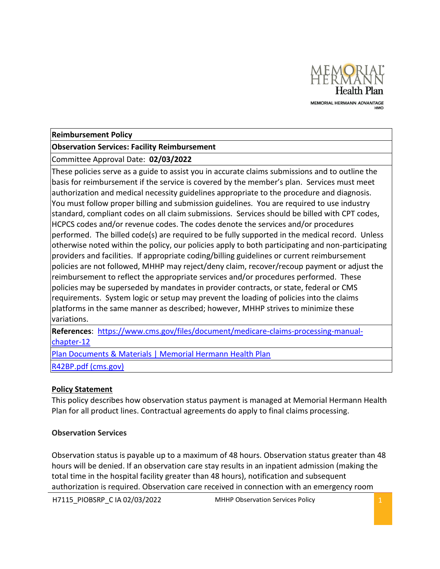

#### **Reimbursement Policy**

#### **Observation Services: Facility Reimbursement**

Committee Approval Date: **02/03/2022**

These policies serve as a guide to assist you in accurate claims submissions and to outline the basis for reimbursement if the service is covered by the member's plan. Services must meet authorization and medical necessity guidelines appropriate to the procedure and diagnosis. You must follow proper billing and submission guidelines. You are required to use industry standard, compliant codes on all claim submissions. Services should be billed with CPT codes, HCPCS codes and/or revenue codes. The codes denote the services and/or procedures performed. The billed code(s) are required to be fully supported in the medical record. Unless otherwise noted within the policy, our policies apply to both participating and non-participating providers and facilities. If appropriate coding/billing guidelines or current reimbursement policies are not followed, MHHP may reject/deny claim, recover/recoup payment or adjust the reimbursement to reflect the appropriate services and/or procedures performed. These policies may be superseded by mandates in provider contracts, or state, federal or CMS requirements. System logic or setup may prevent the loading of policies into the claims platforms in the same manner as described; however, MHHP strives to minimize these variations.

**References**: [https://www.cms.gov/files/document/medicare-claims-processing-manual](https://www.cms.gov/files/document/medicare-claims-processing-manual-chapter-12)[chapter-12](https://www.cms.gov/files/document/medicare-claims-processing-manual-chapter-12)

[Plan Documents & Materials | Memorial Hermann Health Plan](https://healthplan.memorialhermann.org/medicare-advantage/advantage-hmo-plans/plan-documents-materials) [R42BP.pdf \(cms.gov\)](https://www.cms.gov/Regulations-and-Guidance/Guidance/Transmittals/Downloads/R42BP.pdf)

## **Policy Statement**

This policy describes how observation status payment is managed at Memorial Hermann Health Plan for all product lines. Contractual agreements do apply to final claims processing.

## **Observation Services**

Observation status is payable up to a maximum of 48 hours. Observation status greater than 48 hours will be denied. If an observation care stay results in an inpatient admission (making the total time in the hospital facility greater than 48 hours), notification and subsequent authorization is required. Observation care received in connection with an emergency room

H7115 PIOBSRP C IA 02/03/2022 MHHP Observation Services Policy 2012